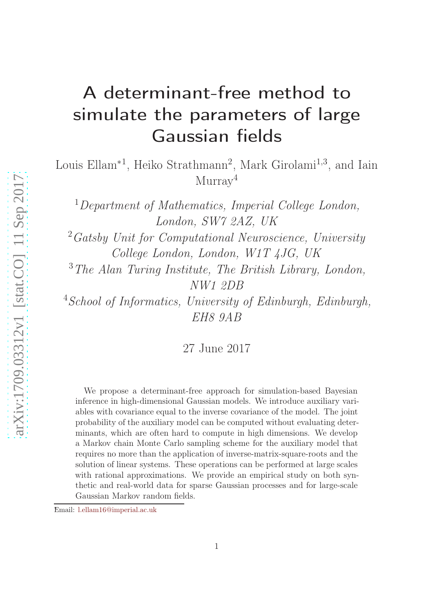# A determinant-free method to simulate the parameters of large Gaussian fields

Louis Ellam<sup>\*1</sup>, Heiko Strathmann<sup>2</sup>, Mark Girolami<sup>1,3</sup>, and Iain  $Murray<sup>4</sup>$ 

<sup>1</sup>Department of Mathematics, Imperial College London, London, SW7 2AZ, UK  $^{2}Gatsby$  Unit for Computational Neuroscience, University College London, London, W1T 4JG, UK  $3$ The Alan Turing Institute, The British Library, London, NW1 2DB <sup>4</sup>School of Informatics, University of Edinburgh, Edinburgh, EH8 9AB

27 June 2017

We propose a determinant-free approach for simulation-based Bayesian inference in high-dimensional Gaussian models. We introduce auxiliary variables with covariance equal to the inverse covariance of the model. The joint probability of the auxiliary model can be computed without evaluating determinants, which are often hard to compute in high dimensions. We develop a Markov chain Monte Carlo sampling scheme for the auxiliary model that requires no more than the application of inverse-matrix-square-roots and the solution of linear systems. These operations can be performed at large scales with rational approximations. We provide an empirical study on both synthetic and real-world data for sparse Gaussian processes and for large-scale Gaussian Markov random fields.

<sup>∗</sup>Email: [l.ellam16@imperial.ac.uk](mailto:l.ellam16@imperial.ac.uk)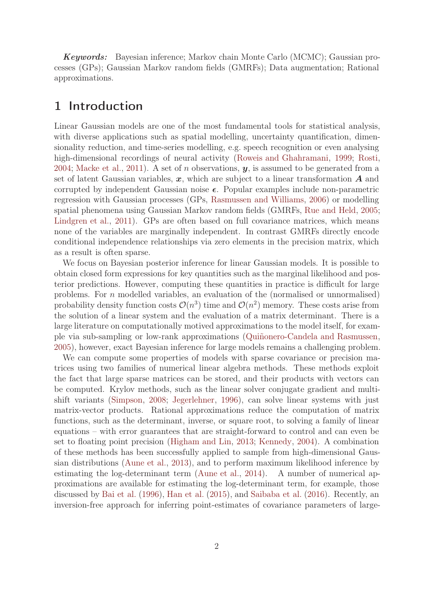Keywords: Bayesian inference; Markov chain Monte Carlo (MCMC); Gaussian processes (GPs); Gaussian Markov random fields (GMRFs); Data augmentation; Rational approximations.

## 1 Introduction

Linear Gaussian models are one of the most fundamental tools for statistical analysis, with diverse applications such as spatial modelling, uncertainty quantification, dimensionality reduction, and time-series modelling, e.g. speech recognition or even analysing high-dimensional recordings of neural activity [\(Roweis and Ghahramani](#page-15-0), [1999;](#page-15-0) [Rosti](#page-15-1), [2004;](#page-15-1) [Macke et al.,](#page-14-0) [2011\)](#page-14-0). A set of n observations,  $y$ , is assumed to be generated from a set of latent Gaussian variables,  $x$ , which are subject to a linear transformation  $A$  and corrupted by independent Gaussian noise  $\epsilon$ . Popular examples include non-parametric regression with Gaussian processes (GPs, [Rasmussen and Williams](#page-14-1), [2006](#page-14-1)) or modelling spatial phenomena using Gaussian Markov random fields (GMRFs, [Rue and Held](#page-15-2), [2005](#page-15-2); [Lindgren et al.](#page-14-2), [2011\)](#page-14-2). GPs are often based on full covariance matrices, which means none of the variables are marginally independent. In contrast GMRFs directly encode conditional independence relationships via zero elements in the precision matrix, which as a result is often sparse.

We focus on Bayesian posterior inference for linear Gaussian models. It is possible to obtain closed form expressions for key quantities such as the marginal likelihood and posterior predictions. However, computing these quantities in practice is difficult for large problems. For  $n$  modelled variables, an evaluation of the (normalised or unnormalised) probability density function costs  $\mathcal{O}(n^3)$  time and  $\mathcal{O}(n^2)$  memory. These costs arise from the solution of a linear system and the evaluation of a matrix determinant. There is a large literature on computationally motived approximations to the model itself, for example via sub-sampling or low-rank approximations [\(Quiñonero-Candela and Rasmussen](#page-14-3), [2005\)](#page-14-3), however, exact Bayesian inference for large models remains a challenging problem.

We can compute some properties of models with sparse covariance or precision matrices using two families of numerical linear algebra methods. These methods exploit the fact that large sparse matrices can be stored, and their products with vectors can be computed. Krylov methods, such as the linear solver conjugate gradient and multishift variants [\(Simpson,](#page-15-3) [2008](#page-15-3); [Jegerlehner,](#page-14-4) [1996](#page-14-4)), can solve linear systems with just matrix-vector products. Rational approximations reduce the computation of matrix functions, such as the determinant, inverse, or square root, to solving a family of linear equations – with error guarantees that are straight-forward to control and can even be set to floating point precision [\(Higham and Lin,](#page-14-5) [2013;](#page-14-5) [Kennedy](#page-14-6), [2004\)](#page-14-6). A combination of these methods has been successfully applied to sample from high-dimensional Gaussian distributions [\(Aune et al.](#page-13-0), [2013\)](#page-13-0), and to perform maximum likelihood inference by estimating the log-determinant term [\(Aune et al.,](#page-13-1) [2014\)](#page-13-1). A number of numerical approximations are available for estimating the log-determinant term, for example, those discussed by [Bai et al.](#page-13-2) [\(1996\)](#page-13-2), [Han et al.](#page-14-7) [\(2015\)](#page-14-7), and [Saibaba et al.](#page-15-4) [\(2016\)](#page-15-4). Recently, an inversion-free approach for inferring point-estimates of covariance parameters of large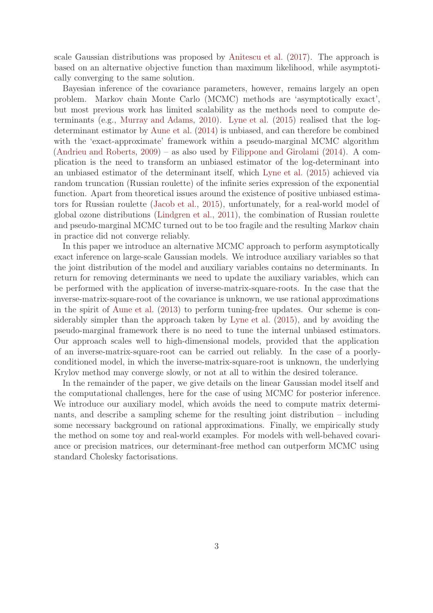scale Gaussian distributions was proposed by [Anitescu et al.](#page-13-3) [\(2017\)](#page-13-3). The approach is based on an alternative objective function than maximum likelihood, while asymptotically converging to the same solution.

Bayesian inference of the covariance parameters, however, remains largely an open problem. Markov chain Monte Carlo (MCMC) methods are 'asymptotically exact', but most previous work has limited scalability as the methods need to compute determinants (e.g., [Murray and Adams](#page-14-8), [2010](#page-14-8)). [Lyne et al.](#page-14-9) [\(2015](#page-14-9)) realised that the logdeterminant estimator by [Aune et al.](#page-13-1) [\(2014](#page-13-1)) is unbiased, and can therefore be combined with the 'exact-approximate' framework within a pseudo-marginal MCMC algorithm [\(Andrieu and Roberts,](#page-13-4) [2009\)](#page-13-4) – as also used by [Filippone and Girolami](#page-13-5) [\(2014\)](#page-13-5). A complication is the need to transform an unbiased estimator of the log-determinant into an unbiased estimator of the determinant itself, which [Lyne et al.](#page-14-9) [\(2015\)](#page-14-9) achieved via random truncation (Russian roulette) of the infinite series expression of the exponential function. Apart from theoretical issues around the existence of positive unbiased estimators for Russian roulette [\(Jacob et al.](#page-14-10), [2015\)](#page-14-10), unfortunately, for a real-world model of global ozone distributions [\(Lindgren et al.,](#page-14-2) [2011\)](#page-14-2), the combination of Russian roulette and pseudo-marginal MCMC turned out to be too fragile and the resulting Markov chain in practice did not converge reliably.

In this paper we introduce an alternative MCMC approach to perform asymptotically exact inference on large-scale Gaussian models. We introduce auxiliary variables so that the joint distribution of the model and auxiliary variables contains no determinants. In return for removing determinants we need to update the auxiliary variables, which can be performed with the application of inverse-matrix-square-roots. In the case that the inverse-matrix-square-root of the covariance is unknown, we use rational approximations in the spirit of [Aune et al.](#page-13-0) [\(2013](#page-13-0)) to perform tuning-free updates. Our scheme is considerably simpler than the approach taken by [Lyne et al.](#page-14-9) [\(2015](#page-14-9)), and by avoiding the pseudo-marginal framework there is no need to tune the internal unbiased estimators. Our approach scales well to high-dimensional models, provided that the application of an inverse-matrix-square-root can be carried out reliably. In the case of a poorlyconditioned model, in which the inverse-matrix-square-root is unknown, the underlying Krylov method may converge slowly, or not at all to within the desired tolerance.

In the remainder of the paper, we give details on the linear Gaussian model itself and the computational challenges, here for the case of using MCMC for posterior inference. We introduce our auxiliary model, which avoids the need to compute matrix determinants, and describe a sampling scheme for the resulting joint distribution – including some necessary background on rational approximations. Finally, we empirically study the method on some toy and real-world examples. For models with well-behaved covariance or precision matrices, our determinant-free method can outperform MCMC using standard Cholesky factorisations.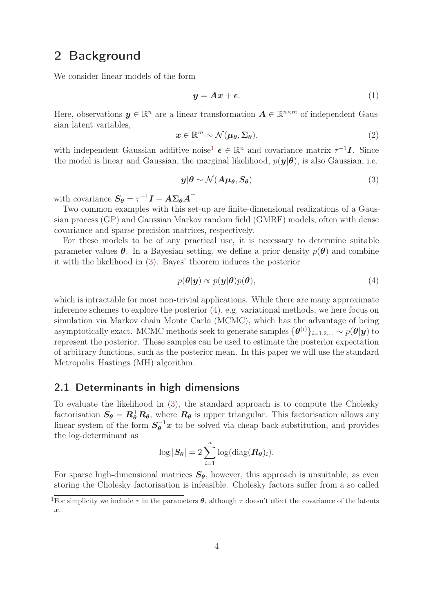# 2 Background

We consider linear models of the form

$$
y = Ax + \epsilon. \tag{1}
$$

Here, observations  $y \in \mathbb{R}^n$  are a linear transformation  $A \in \mathbb{R}^{n \times m}$  of independent Gaussian latent variables,

<span id="page-3-2"></span>
$$
x \in \mathbb{R}^m \sim \mathcal{N}(\mu_\theta, \Sigma_\theta), \tag{2}
$$

with independent Gaussian additive noise<sup>1</sup>  $\boldsymbol{\epsilon} \in \mathbb{R}^n$  and covariance matrix  $\tau^{-1} \boldsymbol{I}$ . Since the model is linear and Gaussian, the marginal likelihood,  $p(\mathbf{y}|\boldsymbol{\theta})$ , is also Gaussian, i.e.

<span id="page-3-0"></span>
$$
y|\theta \sim \mathcal{N}(A\mu_{\theta}, S_{\theta})
$$
\n(3)

with covariance  $S_{\theta} = \tau^{-1} I + A \Sigma_{\theta} A^{\top}$ .

Two common examples with this set-up are finite-dimensional realizations of a Gaussian process (GP) and Gaussian Markov random field (GMRF) models, often with dense covariance and sparse precision matrices, respectively.

For these models to be of any practical use, it is necessary to determine suitable parameter values  $\theta$ . In a Bayesian setting, we define a prior density  $p(\theta)$  and combine it with the likelihood in [\(3\)](#page-3-0). Bayes' theorem induces the posterior

<span id="page-3-1"></span>
$$
p(\theta|\mathbf{y}) \propto p(\mathbf{y}|\theta)p(\theta), \tag{4}
$$

which is intractable for most non-trivial applications. While there are many approximate inference schemes to explore the posterior [\(4\)](#page-3-1), e.g. variational methods, we here focus on simulation via Markov chain Monte Carlo (MCMC), which has the advantage of being asymptotically exact. MCMC methods seek to generate samples  $\{\bm{\theta}^{(i)}\}_{i=1,2,...} \sim p(\bm{\theta}|\bm{y})$  to represent the posterior. These samples can be used to estimate the posterior expectation of arbitrary functions, such as the posterior mean. In this paper we will use the standard Metropolis–Hastings (MH) algorithm.

#### 2.1 Determinants in high dimensions

To evaluate the likelihood in [\(3\)](#page-3-0), the standard approach is to compute the Cholesky factorisation  $S_{\theta} = R_{\theta}^{\top} R_{\theta}$ , where  $R_{\theta}$  is upper triangular. This factorisation allows any linear system of the form  $S_{\theta}^{-1}x$  to be solved via cheap back-substitution, and provides the log-determinant as

$$
\log |\boldsymbol{S}_{\boldsymbol{\theta}}| = 2 \sum_{i=1}^{n} \log(\text{diag}(\boldsymbol{R}_{\boldsymbol{\theta}})_i).
$$

For sparse high-dimensional matrices  $S_{\theta}$ , however, this approach is unsuitable, as even storing the Cholesky factorisation is infeasible. Cholesky factors suffer from a so called

<sup>&</sup>lt;sup>1</sup>For simplicity we include  $\tau$  in the parameters  $\theta$ , although  $\tau$  doesn't effect the covariance of the latents  $\boldsymbol{x}$ .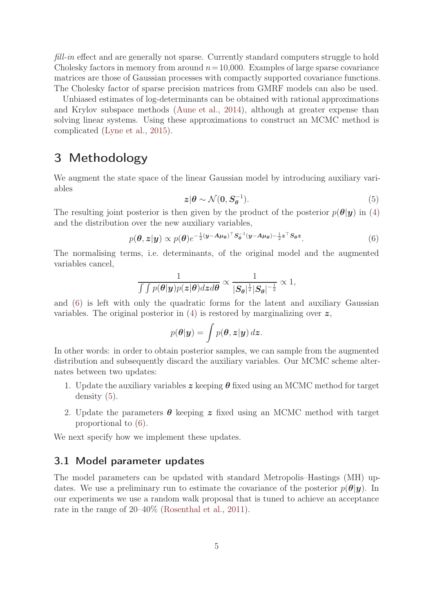fill-in effect and are generally not sparse. Currently standard computers struggle to hold Cholesky factors in memory from around  $n=10,000$ . Examples of large sparse covariance matrices are those of Gaussian processes with compactly supported covariance functions. The Cholesky factor of sparse precision matrices from GMRF models can also be used.

Unbiased estimates of log-determinants can be obtained with rational approximations and Krylov subspace methods [\(Aune et al.](#page-13-1), [2014\)](#page-13-1), although at greater expense than solving linear systems. Using these approximations to construct an MCMC method is complicated [\(Lyne et al.](#page-14-9), [2015\)](#page-14-9).

# 3 Methodology

<span id="page-4-1"></span>We augment the state space of the linear Gaussian model by introducing auxiliary variables

<span id="page-4-0"></span>
$$
z|\theta \sim \mathcal{N}(0, S_{\theta}^{-1}).
$$
\n<sup>(5)</sup>

The resulting joint posterior is then given by the product of the posterior  $p(\theta|\mathbf{y})$  in [\(4\)](#page-3-1) and the distribution over the new auxiliary variables,

$$
p(\boldsymbol{\theta}, \boldsymbol{z} | \boldsymbol{y}) \propto p(\boldsymbol{\theta}) e^{-\frac{1}{2}(\boldsymbol{y} - \boldsymbol{A}\boldsymbol{\mu}_{\boldsymbol{\theta}})^{\top} \boldsymbol{S}_{\boldsymbol{\theta}}^{-1}(\boldsymbol{y} - \boldsymbol{A}\boldsymbol{\mu}_{\boldsymbol{\theta}}) - \frac{1}{2}\boldsymbol{z}^{\top} \boldsymbol{S}_{\boldsymbol{\theta}} \boldsymbol{z}}.
$$
(6)

The normalising terms, i.e. determinants, of the original model and the augmented variables cancel,

$$
\frac{1}{\int\int p(\boldsymbol{\theta}|\boldsymbol{y})p(\boldsymbol{z}|\boldsymbol{\theta})d\boldsymbol{z}d\boldsymbol{\theta}}\propto \frac{1}{|\boldsymbol{S}_{\boldsymbol{\theta}}|^{\frac{1}{2}}|\boldsymbol{S}_{\boldsymbol{\theta}}|^{-\frac{1}{2}}}\propto 1,
$$

and [\(6\)](#page-4-0) is left with only the quadratic forms for the latent and auxiliary Gaussian variables. The original posterior in  $(4)$  is restored by marginalizing over  $z$ ,

$$
p(\theta|\mathbf{y}) = \int p(\theta, \mathbf{z}|\mathbf{y}) \, d\mathbf{z}.
$$

In other words: in order to obtain posterior samples, we can sample from the augmented distribution and subsequently discard the auxiliary variables. Our MCMC scheme alternates between two updates:

- 1. Update the auxiliary variables  $z$  keeping  $\theta$  fixed using an MCMC method for target density [\(5\)](#page-4-1).
- 2. Update the parameters  $\theta$  keeping z fixed using an MCMC method with target proportional to [\(6\)](#page-4-0).

We next specify how we implement these updates.

#### 3.1 Model parameter updates

The model parameters can be updated with standard Metropolis–Hastings (MH) updates. We use a preliminary run to estimate the covariance of the posterior  $p(\theta|\mathbf{y})$ . In our experiments we use a random walk proposal that is tuned to achieve an acceptance rate in the range of 20–40% [\(Rosenthal et al.,](#page-14-11) [2011](#page-14-11)).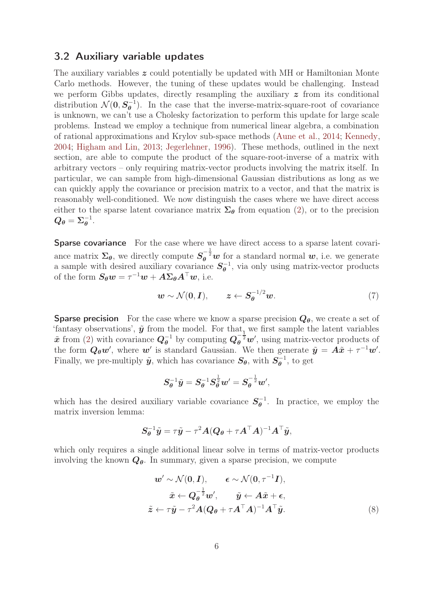#### 3.2 Auxiliary variable updates

The auxiliary variables  $\boldsymbol{z}$  could potentially be updated with MH or Hamiltonian Monte Carlo methods. However, the tuning of these updates would be challenging. Instead we perform Gibbs updates, directly resampling the auxiliary  $\boldsymbol{z}$  from its conditional distribution  $\mathcal{N}(0, S_\theta^{-1})$  $\theta^{-1}$ ). In the case that the inverse-matrix-square-root of covariance is unknown, we can't use a Cholesky factorization to perform this update for large scale problems. Instead we employ a technique from numerical linear algebra, a combination of rational approximations and Krylov sub-space methods [\(Aune et al.](#page-13-1), [2014;](#page-13-1) [Kennedy](#page-14-6), [2004;](#page-14-6) [Higham and Lin](#page-14-5), [2013](#page-14-5); [Jegerlehner,](#page-14-4) [1996](#page-14-4)). These methods, outlined in the next section, are able to compute the product of the square-root-inverse of a matrix with arbitrary vectors – only requiring matrix-vector products involving the matrix itself. In particular, we can sample from high-dimensional Gaussian distributions as long as we can quickly apply the covariance or precision matrix to a vector, and that the matrix is reasonably well-conditioned. We now distinguish the cases where we have direct access either to the sparse latent covariance matrix  $\Sigma_{\theta}$  from equation [\(2\)](#page-3-2), or to the precision  $\boldsymbol{Q_\theta} = \boldsymbol{\Sigma_{\theta}^{-1}}$  $\overline{\theta}^{\perp}$ .

Sparse covariance For the case where we have direct access to a sparse latent covariance matrix  $\Sigma_{\theta}$ , we directly compute  $S_{\theta}^{-\frac{1}{2}}w$  for a standard normal  $w$ , i.e. we generate a sample with desired auxiliary covariance  $S_{\theta}^{-1}$  $\theta^{-1}$ , via only using matrix-vector products of the form  $S_{\theta}w = \tau^{-1}w + A\Sigma_{\theta}A^{\top}w$ , i.e.

$$
\mathbf{w} \sim \mathcal{N}(\mathbf{0}, \mathbf{I}), \qquad \mathbf{z} \leftarrow \mathbf{S}_{\theta}^{-1/2} \mathbf{w}. \tag{7}
$$

**Sparse precision** For the case where we know a sparse precision  $Q_{\theta}$ , we create a set of 'fantasy observations',  $\tilde{y}$  from the model. For that, we first sample the latent variables  $\tilde{x}$  from [\(2\)](#page-3-2) with covariance  $Q_{\theta}^{-1}$  by computing  $Q_{\theta}^{-\frac{1}{2}}w'$ , using matrix-vector products of the form  $Q_{\theta}w'$ , where  $w'$  is standard Gaussian. We then generate  $\tilde{y} = A\tilde{x} + \tau^{-1}w'$ . Finally, we pre-multiply  $\tilde{y}$ , which has covariance  $S_{\theta}$ , with  $S_{\theta}^{-1}$  $\overline{\theta}^{-1}$ , to get

$$
\pmb{S}_{\pmb{\theta}}^{-1}\tilde{\pmb{y}} = \pmb{S}_{\pmb{\theta}}^{-1}\pmb{S}_{\pmb{\theta}}^{\frac{1}{2}}\pmb{w}' = \pmb{S}_{\pmb{\theta}}^{-\frac{1}{2}}\pmb{w}',
$$

which has the desired auxiliary variable covariance  $S_{\theta}^{-1}$  $\theta^{-1}$ . In practice, we employ the matrix inversion lemma:

$$
\boldsymbol{S}_{\theta}^{-1}\tilde{\boldsymbol{y}} = \tau\tilde{\boldsymbol{y}} - \tau^2\boldsymbol{A}(\boldsymbol{Q}_{\theta} + \tau\boldsymbol{A}^\top\boldsymbol{A})^{-1}\boldsymbol{A}^\top\tilde{\boldsymbol{y}},
$$

which only requires a single additional linear solve in terms of matrix-vector products involving the known  $Q_{\theta}$ . In summary, given a sparse precision, we compute

<span id="page-5-0"></span>
$$
\boldsymbol{w}' \sim \mathcal{N}(\mathbf{0}, \boldsymbol{I}), \qquad \boldsymbol{\epsilon} \sim \mathcal{N}(\mathbf{0}, \tau^{-1} \boldsymbol{I}),
$$

$$
\tilde{\boldsymbol{x}} \leftarrow \boldsymbol{Q}_{\boldsymbol{\theta}}^{-\frac{1}{2}} \boldsymbol{w}', \qquad \tilde{\boldsymbol{y}} \leftarrow \boldsymbol{A} \tilde{\boldsymbol{x}} + \boldsymbol{\epsilon},
$$

$$
\tilde{\boldsymbol{z}} \leftarrow \tau \tilde{\boldsymbol{y}} - \tau^2 \boldsymbol{A} (\boldsymbol{Q}_{\boldsymbol{\theta}} + \tau \boldsymbol{A}^\top \boldsymbol{A})^{-1} \boldsymbol{A}^\top \tilde{\boldsymbol{y}}.
$$
(8)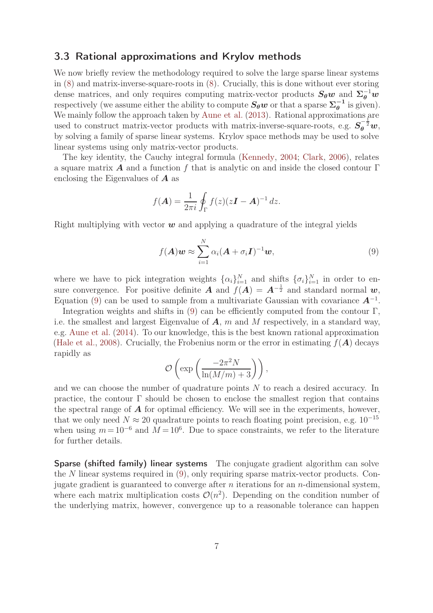#### 3.3 Rational approximations and Krylov methods

We now briefly review the methodology required to solve the large sparse linear systems in [\(8\)](#page-5-0) and matrix-inverse-square-roots in [\(8\)](#page-5-0). Crucially, this is done without ever storing dense matrices, and only requires computing matrix-vector products  $S_{\theta}w$  and  $\Sigma_{\theta}^{-1}w$ respectively (we assume either the ability to compute  $S_{\theta}w$  or that a sparse  $\Sigma_{\theta}^{-1}$  $\frac{1}{\theta}$  is given). We mainly follow the approach taken by [Aune et al.](#page-13-0) [\(2013\)](#page-13-0). Rational approximations are used to construct matrix-vector products with matrix-inverse-square-roots, e.g.  $S_{\theta}^{-\frac{1}{2}}w$ , by solving a family of sparse linear systems. Krylov space methods may be used to solve linear systems using only matrix-vector products.

The key identity, the Cauchy integral formula [\(Kennedy](#page-14-6), [2004;](#page-14-6) [Clark](#page-13-6), [2006](#page-13-6)), relates a square matrix **A** and a function f that is analytic on and inside the closed contour  $\Gamma$ enclosing the Eigenvalues of  $A$  as

$$
f(\boldsymbol{A}) = \frac{1}{2\pi i} \oint_{\Gamma} f(z)(z\boldsymbol{I} - \boldsymbol{A})^{-1} dz.
$$

Right multiplying with vector  $w$  and applying a quadrature of the integral yields

<span id="page-6-0"></span>
$$
f(\boldsymbol{A})\boldsymbol{w} \approx \sum_{i=1}^{N} \alpha_i (\boldsymbol{A} + \sigma_i \boldsymbol{I})^{-1} \boldsymbol{w}, \qquad (9)
$$

where we have to pick integration weights  $\{\alpha_i\}_{i=1}^N$  and shifts  $\{\sigma_i\}_{i=1}^N$  in order to ensure convergence. For positive definite  $\vec{A}$  and  $f(\vec{A}) = \vec{A}^{-\frac{1}{2}}$  and standard normal  $\vec{w}$ , Equation [\(9\)](#page-6-0) can be used to sample from a multivariate Gaussian with covariance  $A^{-1}$ .

Integration weights and shifts in  $(9)$  can be efficiently computed from the contour Γ, i.e. the smallest and largest Eigenvalue of  $A$ ,  $m$  and  $M$  respectively, in a standard way, e.g. [Aune et al.](#page-13-1) [\(2014](#page-13-1)). To our knowledge, this is the best known rational approximation [\(Hale et al.,](#page-14-12) [2008\)](#page-14-12). Crucially, the Frobenius norm or the error in estimating  $f(A)$  decays rapidly as

$$
\mathcal{O}\left(\exp\left(\frac{-2\pi^2N}{\ln(M/m)+3}\right)\right),\,
$$

and we can choose the number of quadrature points N to reach a desired accuracy. In practice, the contour Γ should be chosen to enclose the smallest region that contains the spectral range of  $A$  for optimal efficiency. We will see in the experiments, however, that we only need  $N \approx 20$  quadrature points to reach floating point precision, e.g.  $10^{-15}$ when using  $m = 10^{-6}$  and  $M = 10^{6}$ . Due to space constraints, we refer to the literature for further details.

Sparse (shifted family) linear systems The conjugate gradient algorithm can solve the N linear systems required in [\(9\)](#page-6-0), only requiring sparse matrix-vector products. Conjugate gradient is guaranteed to converge after  $n$  iterations for an  $n$ -dimensional system, where each matrix multiplication costs  $\mathcal{O}(n^2)$ . Depending on the condition number of the underlying matrix, however, convergence up to a reasonable tolerance can happen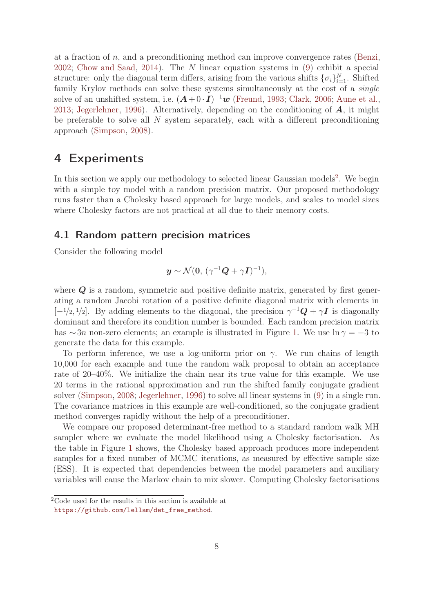at a fraction of  $n$ , and a preconditioning method can improve convergence rates [\(Benzi](#page-13-7), [2002;](#page-13-7) [Chow and Saad](#page-13-8), [2014\)](#page-13-8). The N linear equation systems in [\(9\)](#page-6-0) exhibit a special structure: only the diagonal term differs, arising from the various shifts  $\{\sigma_i\}_{i=1}^N$ . Shifted family Krylov methods can solve these systems simultaneously at the cost of a *single* solve of an unshifted system, i.e.  $(A+0\cdot I)^{-1}\boldsymbol{w}$  [\(Freund](#page-13-9), [1993](#page-13-9); [Clark](#page-13-6), [2006;](#page-13-6) [Aune et al.](#page-13-0), [2013;](#page-13-0) [Jegerlehner](#page-14-4), [1996\)](#page-14-4). Alternatively, depending on the conditioning of  $\boldsymbol{A}$ , it might be preferable to solve all  $N$  system separately, each with a different preconditioning approach [\(Simpson](#page-15-3), [2008\)](#page-15-3).

## 4 Experiments

In this section we apply our methodology to selected linear Gaussian models<sup>2</sup>. We begin with a simple toy model with a random precision matrix. Our proposed methodology runs faster than a Cholesky based approach for large models, and scales to model sizes where Cholesky factors are not practical at all due to their memory costs.

#### 4.1 Random pattern precision matrices

Consider the following model

$$
\boldsymbol{y} \sim \mathcal{N}(\boldsymbol{0}, \, (\gamma^{-1}\boldsymbol{Q} + \gamma \boldsymbol{I})^{-1}),
$$

where  $Q$  is a random, symmetric and positive definite matrix, generated by first generating a random Jacobi rotation of a positive definite diagonal matrix with elements in  $[-1/2, 1/2]$ . By adding elements to the diagonal, the precision  $\gamma^{-1} \mathbf{Q} + \gamma \mathbf{I}$  is diagonally dominant and therefore its condition number is bounded. Each random precision matrix has  $\sim$ 3n non-zero elements; an example is illustrated in Figure [1.](#page-8-0) We use  $\ln \gamma = -3$  to generate the data for this example.

To perform inference, we use a log-uniform prior on  $\gamma$ . We run chains of length 10,000 for each example and tune the random walk proposal to obtain an acceptance rate of 20–40%. We initialize the chain near its true value for this example. We use 20 terms in the rational approximation and run the shifted family conjugate gradient solver [\(Simpson](#page-15-3), [2008](#page-15-3); [Jegerlehner,](#page-14-4) [1996\)](#page-14-4) to solve all linear systems in [\(9\)](#page-6-0) in a single run. The covariance matrices in this example are well-conditioned, so the conjugate gradient method converges rapidly without the help of a preconditioner.

We compare our proposed determinant-free method to a standard random walk MH sampler where we evaluate the model likelihood using a Cholesky factorisation. As the table in Figure [1](#page-8-0) shows, the Cholesky based approach produces more independent samples for a fixed number of MCMC iterations, as measured by effective sample size (ESS). It is expected that dependencies between the model parameters and auxiliary variables will cause the Markov chain to mix slower. Computing Cholesky factorisations

<sup>2</sup>Code used for the results in this section is available at

[https://github.com/lellam/det\\_free\\_method](https://github.com/lellam/det_free_method).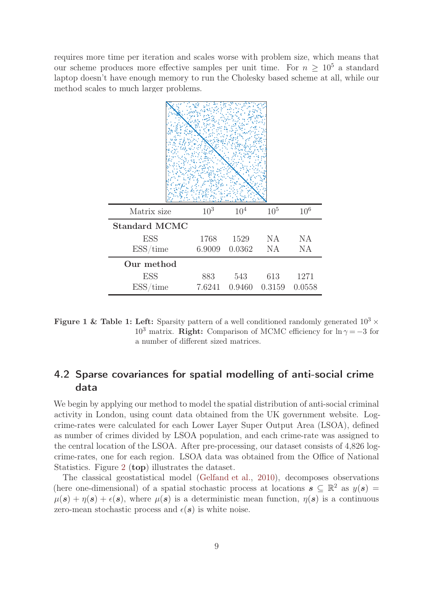<span id="page-8-0"></span>requires more time per iteration and scales worse with problem size, which means that our scheme produces more effective samples per unit time. For  $n \geq 10^5$  a standard laptop doesn't have enough memory to run the Cholesky based scheme at all, while our method scales to much larger problems.

| Matrix size          | $10^{3}$ | $10^{4}$                       | $10^{5}$ | 10 <sup>6</sup> |
|----------------------|----------|--------------------------------|----------|-----------------|
| <b>Standard MCMC</b> |          |                                |          |                 |
| <b>ESS</b>           |          | 1768 1529 NA NA                |          |                 |
| ESS/time             |          | 6.9009 0.0362 NA               |          | <b>NA</b>       |
| Our method           |          |                                |          |                 |
| <b>ESS</b>           |          | 883 543 613 1271               |          |                 |
| ESS/time             |          | 7.6241  0.9460  0.3159  0.0558 |          |                 |

Figure 1 & Table 1: Left: Sparsity pattern of a well conditioned randomly generated  $10^3 \times$  $10^3$  matrix. **Right:** Comparison of MCMC efficiency for  $\ln \gamma = -3$  for a number of different sized matrices.

## 4.2 Sparse covariances for spatial modelling of anti-social crime data

We begin by applying our method to model the spatial distribution of anti-social criminal activity in London, using count data obtained from the UK government website. Logcrime-rates were calculated for each Lower Layer Super Output Area (LSOA), defined as number of crimes divided by LSOA population, and each crime-rate was assigned to the central location of the LSOA. After pre-processing, our dataset consists of 4,826 logcrime-rates, one for each region. LSOA data was obtained from the Office of National Statistics. Figure [2](#page-9-0) (top) illustrates the dataset.

The classical geostatistical model [\(Gelfand et al.](#page-13-10), [2010\)](#page-13-10), decomposes observations (here one-dimensional) of a spatial stochastic process at locations  $s \subseteq \mathbb{R}^2$  as  $y(s) =$  $\mu(\mathbf{s}) + \eta(\mathbf{s}) + \epsilon(\mathbf{s})$ , where  $\mu(\mathbf{s})$  is a deterministic mean function,  $\eta(\mathbf{s})$  is a continuous zero-mean stochastic process and  $\epsilon(s)$  is white noise.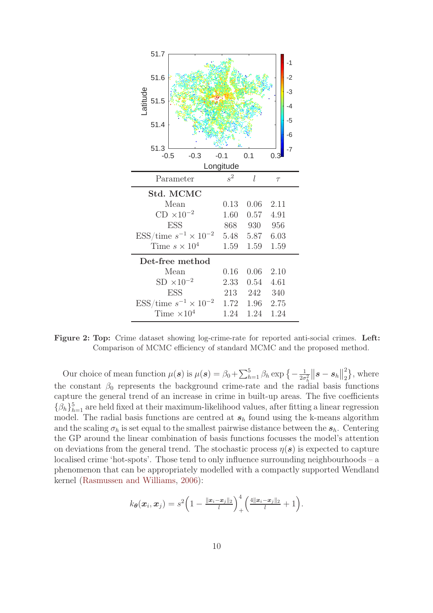<span id="page-9-0"></span>

Figure 2: Top: Crime dataset showing log-crime-rate for reported anti-social crimes. Left: Comparison of MCMC efficiency of standard MCMC and the proposed method.

Our choice of mean function  $\mu(\mathbf{s})$  is  $\mu(\mathbf{s}) = \beta_0 + \sum_{h=1}^5 \beta_h \exp\left\{-\frac{1}{2\sigma^2}\right\}$  $\frac{1}{2\sigma_h^2}\Big\|\boldsymbol{s}-\boldsymbol{s}_h\Big\|$ 2  $\binom{2}{2}$ , where the constant  $\beta_0$  represents the background crime-rate and the radial basis functions capture the general trend of an increase in crime in built-up areas. The five coefficients  $\{\beta_h\}_{h=1}^5$  are held fixed at their maximum-likelihood values, after fitting a linear regression model. The radial basis functions are centred at  $s<sub>h</sub>$  found using the k-means algorithm and the scaling  $\sigma_h$  is set equal to the smallest pairwise distance between the  $s_h$ . Centering the GP around the linear combination of basis functions focusses the model's attention on deviations from the general trend. The stochastic process  $\eta(s)$  is expected to capture localised crime 'hot-spots'. Those tend to only influence surrounding neighbourhoods – a phenomenon that can be appropriately modelled with a compactly supported Wendland kernel [\(Rasmussen and Williams](#page-14-1), [2006\)](#page-14-1):

$$
k_{\boldsymbol{\theta}}(\boldsymbol{x}_i, \boldsymbol{x}_j) = s^2 \left(1 - \frac{\|\boldsymbol{x}_i - \boldsymbol{x}_j\|_2}{l}\right)_+^4 \left(\frac{4\|\boldsymbol{x}_i - \boldsymbol{x}_j\|_2}{l} + 1\right).
$$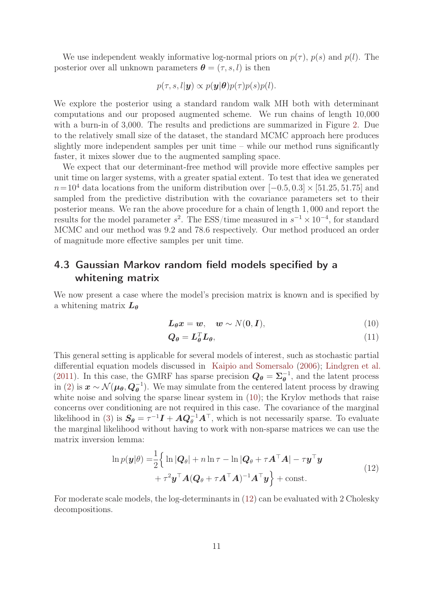We use independent weakly informative log-normal priors on  $p(\tau)$ ,  $p(s)$  and  $p(l)$ . The posterior over all unknown parameters  $\boldsymbol{\theta} = (\tau, s, l)$  is then

$$
p(\tau, s, l | \mathbf{y}) \propto p(\mathbf{y} | \boldsymbol{\theta}) p(\tau) p(s) p(l).
$$

We explore the posterior using a standard random walk MH both with determinant computations and our proposed augmented scheme. We run chains of length 10,000 with a burn-in of 3,000. The results and predictions are summarized in Figure [2.](#page-9-0) Due to the relatively small size of the dataset, the standard MCMC approach here produces slightly more independent samples per unit time – while our method runs significantly faster, it mixes slower due to the augmented sampling space.

We expect that our determinant-free method will provide more effective samples per unit time on larger systems, with a greater spatial extent. To test that idea we generated  $n=10^4$  data locations from the uniform distribution over  $[-0.5, 0.3] \times [51.25, 51.75]$  and sampled from the predictive distribution with the covariance parameters set to their posterior means. We ran the above procedure for a chain of length 1, 000 and report the results for the model parameter  $s^2$ . The ESS/time measured in  $s^{-1} \times 10^{-4}$ , for standard MCMC and our method was 9.2 and 78.6 respectively. Our method produced an order of magnitude more effective samples per unit time.

## 4.3 Gaussian Markov random field models specified by a whitening matrix

We now present a case where the model's precision matrix is known and is specified by a whitening matrix  $L_{\theta}$ 

<span id="page-10-0"></span>
$$
L_{\theta}x = w, \quad w \sim N(0, I), \tag{10}
$$

$$
Q_{\theta} = L_{\theta}^T L_{\theta},\tag{11}
$$

This general setting is applicable for several models of interest, such as stochastic partial differential equation models discussed in [Kaipio and Somersalo](#page-14-13) [\(2006](#page-14-13)); [Lindgren et al.](#page-14-2) [\(2011](#page-14-2)). In this case, the GMRF has sparse precision  $Q_{\theta} = \Sigma_{\theta}^{-1}$  $\bar{\theta}^1$ , and the latent process in [\(2\)](#page-3-2) is  $x \sim \mathcal{N}(\mu_{\theta}, Q_{\theta}^{-1})$ . We may simulate from the centered latent process by drawing white noise and solving the sparse linear system in  $(10)$ ; the Krylov methods that raise concerns over conditioning are not required in this case. The covariance of the marginal likelihood in [\(3\)](#page-3-0) is  $S_{\theta} = \tau^{-1}I + A Q_{\theta}^{-1}A^{T}$ , which is not necessarily sparse. To evaluate the marginal likelihood without having to work with non-sparse matrices we can use the matrix inversion lemma:

<span id="page-10-1"></span>
$$
\ln p(\mathbf{y}|\theta) = \frac{1}{2} \left\{ \ln |\mathbf{Q}_{\theta}| + n \ln \tau - \ln |\mathbf{Q}_{\theta} + \tau \mathbf{A}^{\top} \mathbf{A}| - \tau \mathbf{y}^{\top} \mathbf{y} + \tau^2 \mathbf{y}^{\top} \mathbf{A} (\mathbf{Q}_{\theta} + \tau \mathbf{A}^{\top} \mathbf{A})^{-1} \mathbf{A}^{\top} \mathbf{y} \right\} + \text{const.}
$$
\n(12)

For moderate scale models, the log-determinants in [\(12\)](#page-10-1) can be evaluated with 2 Cholesky decompositions.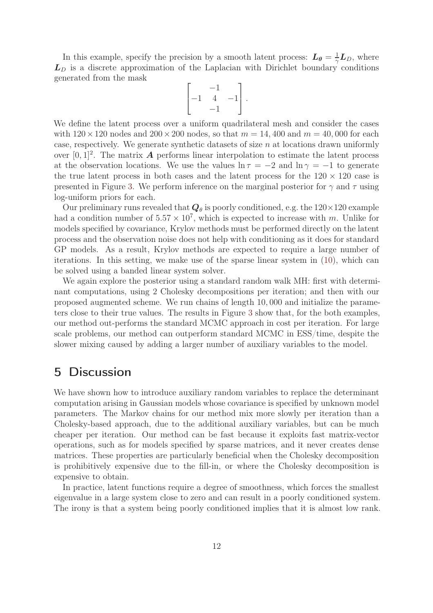In this example, specify the precision by a smooth latent process:  $L_{\theta} = \frac{1}{\gamma}$  $\frac{1}{\gamma} L_D$ , where  $L<sub>D</sub>$  is a discrete approximation of the Laplacian with Dirichlet boundary conditions generated from the mask

$$
\begin{bmatrix} & -1 & \\ -1 & 4 & -1 \\ & -1 & \end{bmatrix}.
$$

We define the latent process over a uniform quadrilateral mesh and consider the cases with  $120 \times 120$  nodes and  $200 \times 200$  nodes, so that  $m = 14,400$  and  $m = 40,000$  for each case, respectively. We generate synthetic datasets of size  $n$  at locations drawn uniformly over  $[0,1]^2$ . The matrix **A** performs linear interpolation to estimate the latent process at the observation locations. We use the values  $\ln \tau = -2$  and  $\ln \gamma = -1$  to generate the true latent process in both cases and the latent process for the  $120 \times 120$  case is presented in Figure [3.](#page-12-0) We perform inference on the marginal posterior for  $\gamma$  and  $\tau$  using log-uniform priors for each.

Our preliminary runs revealed that  $Q_{\theta}$  is poorly conditioned, e.g. the  $120 \times 120$  example had a condition number of  $5.57 \times 10^7$ , which is expected to increase with m. Unlike for models specified by covariance, Krylov methods must be performed directly on the latent process and the observation noise does not help with conditioning as it does for standard GP models. As a result, Krylov methods are expected to require a large number of iterations. In this setting, we make use of the sparse linear system in [\(10\)](#page-10-0), which can be solved using a banded linear system solver.

We again explore the posterior using a standard random walk MH: first with determinant computations, using 2 Cholesky decompositions per iteration; and then with our proposed augmented scheme. We run chains of length 10, 000 and initialize the parameters close to their true values. The results in Figure [3](#page-12-0) show that, for the both examples, our method out-performs the standard MCMC approach in cost per iteration. For large scale problems, our method can outperform standard MCMC in ESS/time, despite the slower mixing caused by adding a larger number of auxiliary variables to the model.

## 5 Discussion

We have shown how to introduce auxiliary random variables to replace the determinant computation arising in Gaussian models whose covariance is specified by unknown model parameters. The Markov chains for our method mix more slowly per iteration than a Cholesky-based approach, due to the additional auxiliary variables, but can be much cheaper per iteration. Our method can be fast because it exploits fast matrix-vector operations, such as for models specified by sparse matrices, and it never creates dense matrices. These properties are particularly beneficial when the Cholesky decomposition is prohibitively expensive due to the fill-in, or where the Cholesky decomposition is expensive to obtain.

In practice, latent functions require a degree of smoothness, which forces the smallest eigenvalue in a large system close to zero and can result in a poorly conditioned system. The irony is that a system being poorly conditioned implies that it is almost low rank.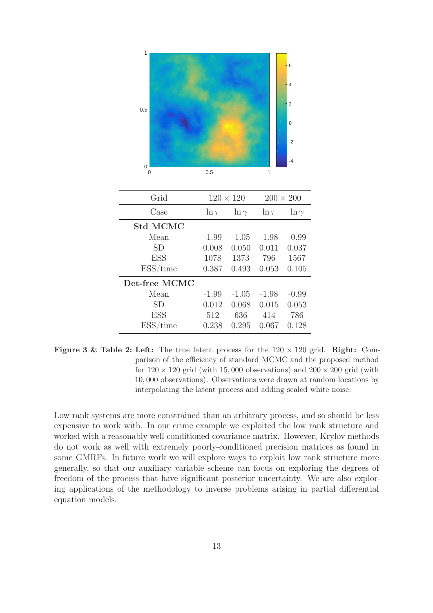<span id="page-12-0"></span>

| Grid            | $120 \times 120$ |              | $200 \times 200$ |              |
|-----------------|------------------|--------------|------------------|--------------|
| Case            | $\ln \tau$       | $\ln \gamma$ | $\ln \tau$       | $\ln \gamma$ |
| <b>Std MCMC</b> |                  |              |                  |              |
| Mean            | $-1.99$          | $-1.05$      | $-1.98$          | $-0.99$      |
| <b>SD</b>       | 0.008            | 0.050        | 0.011            | 0.037        |
| <b>ESS</b>      | 1078             | 1373         | 796              | 1567         |
| ESS/time        | 0.387            | 0.493        | 0.053            | 0.105        |
| Det-free MCMC   |                  |              |                  |              |
| Mean            | $-1.99$          | $-1.05$      | $-1.98$          | $-0.99$      |
| <b>SD</b>       | 0.012            | 0.068        | 0.015            | 0.053        |
| <b>ESS</b>      | 512              | 636          | 414              | 786          |
| ESS/time        | 0.238            | 0.295        | 0.067            | 0.128        |

Figure 3 & Table 2: Left: The true latent process for the  $120 \times 120$  grid. Right: Comparison of the efficiency of standard MCMC and the proposed method for  $120 \times 120$  grid (with 15,000 observations) and  $200 \times 200$  grid (with 10, 000 observations). Observations were drawn at random locations by interpolating the latent process and adding scaled white noise.

Low rank systems are more constrained than an arbitrary process, and so should be less expensive to work with. In our crime example we exploited the low rank structure and worked with a reasonably well conditioned covariance matrix. However, Krylov methods do not work as well with extremely poorly-conditioned precision matrices as found in some GMRFs. In future work we will explore ways to exploit low rank structure more generally, so that our auxiliary variable scheme can focus on exploring the degrees of freedom of the process that have significant posterior uncertainty. We are also exploring applications of the methodology to inverse problems arising in partial differential equation models.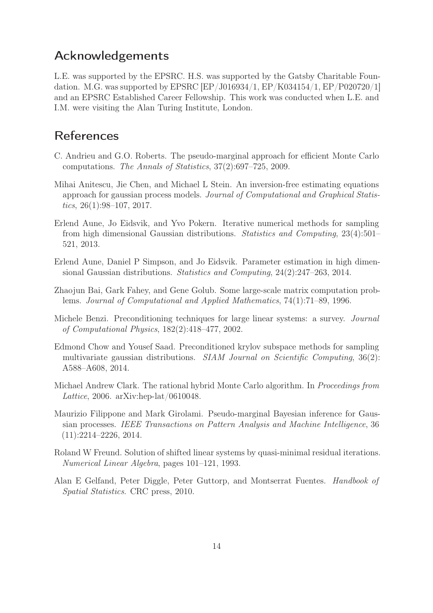# Acknowledgements

L.E. was supported by the EPSRC. H.S. was supported by the Gatsby Charitable Foundation. M.G. was supported by EPSRC [EP/J016934/1, EP/K034154/1, EP/P020720/1] and an EPSRC Established Career Fellowship. This work was conducted when L.E. and I.M. were visiting the Alan Turing Institute, London.

# References

- <span id="page-13-4"></span>C. Andrieu and G.O. Roberts. The pseudo-marginal approach for efficient Monte Carlo computations. The Annals of Statistics, 37(2):697–725, 2009.
- <span id="page-13-3"></span>Mihai Anitescu, Jie Chen, and Michael L Stein. An inversion-free estimating equations approach for gaussian process models. Journal of Computational and Graphical Statistics,  $26(1):98-107$ ,  $2017$ .
- <span id="page-13-0"></span>Erlend Aune, Jo Eidsvik, and Yvo Pokern. Iterative numerical methods for sampling from high dimensional Gaussian distributions. Statistics and Computing, 23(4):501– 521, 2013.
- <span id="page-13-1"></span>Erlend Aune, Daniel P Simpson, and Jo Eidsvik. Parameter estimation in high dimensional Gaussian distributions. Statistics and Computing, 24(2):247–263, 2014.
- <span id="page-13-2"></span>Zhaojun Bai, Gark Fahey, and Gene Golub. Some large-scale matrix computation problems. Journal of Computational and Applied Mathematics, 74(1):71–89, 1996.
- <span id="page-13-7"></span>Michele Benzi. Preconditioning techniques for large linear systems: a survey. Journal of Computational Physics, 182(2):418–477, 2002.
- <span id="page-13-8"></span>Edmond Chow and Yousef Saad. Preconditioned krylov subspace methods for sampling multivariate gaussian distributions. *SIAM Journal on Scientific Computing*, 36(2): A588–A608, 2014.
- <span id="page-13-6"></span>Michael Andrew Clark. The rational hybrid Monte Carlo algorithm. In Proceedings from Lattice, 2006. arXiv:hep-lat/0610048.
- <span id="page-13-5"></span>Maurizio Filippone and Mark Girolami. Pseudo-marginal Bayesian inference for Gaussian processes. IEEE Transactions on Pattern Analysis and Machine Intelligence, 36 (11):2214–2226, 2014.
- <span id="page-13-9"></span>Roland W Freund. Solution of shifted linear systems by quasi-minimal residual iterations. Numerical Linear Algebra, pages 101–121, 1993.
- <span id="page-13-10"></span>Alan E Gelfand, Peter Diggle, Peter Guttorp, and Montserrat Fuentes. Handbook of Spatial Statistics. CRC press, 2010.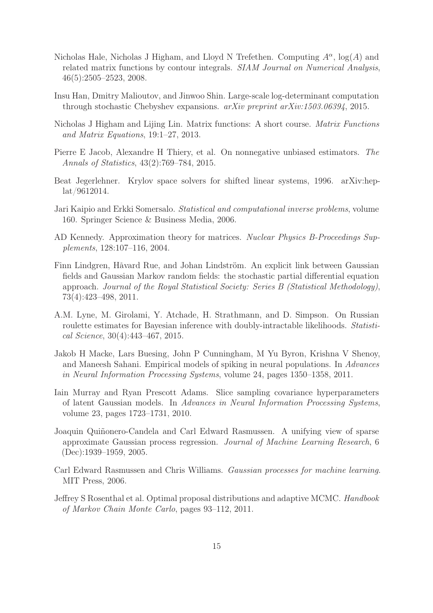- <span id="page-14-12"></span>Nicholas Hale, Nicholas J Higham, and Lloyd N Trefethen. Computing  $A^{\alpha}$ ,  $log(A)$  and related matrix functions by contour integrals. SIAM Journal on Numerical Analysis, 46(5):2505–2523, 2008.
- <span id="page-14-7"></span>Insu Han, Dmitry Malioutov, and Jinwoo Shin. Large-scale log-determinant computation through stochastic Chebyshev expansions. arXiv preprint arXiv:1503.06394, 2015.
- <span id="page-14-5"></span>Nicholas J Higham and Lijing Lin. Matrix functions: A short course. Matrix Functions and Matrix Equations, 19:1–27, 2013.
- <span id="page-14-10"></span>Pierre E Jacob, Alexandre H Thiery, et al. On nonnegative unbiased estimators. The Annals of Statistics, 43(2):769–784, 2015.
- <span id="page-14-4"></span>Beat Jegerlehner. Krylov space solvers for shifted linear systems, 1996. arXiv:heplat/9612014.
- <span id="page-14-13"></span>Jari Kaipio and Erkki Somersalo. Statistical and computational inverse problems, volume 160. Springer Science & Business Media, 2006.
- <span id="page-14-6"></span>AD Kennedy. Approximation theory for matrices. Nuclear Physics B-Proceedings Supplements, 128:107–116, 2004.
- <span id="page-14-2"></span>Finn Lindgren, Håvard Rue, and Johan Lindström. An explicit link between Gaussian fields and Gaussian Markov random fields: the stochastic partial differential equation approach. Journal of the Royal Statistical Society: Series B (Statistical Methodology), 73(4):423–498, 2011.
- <span id="page-14-9"></span>A.M. Lyne, M. Girolami, Y. Atchade, H. Strathmann, and D. Simpson. On Russian roulette estimates for Bayesian inference with doubly-intractable likelihoods. Statistical Science, 30(4):443–467, 2015.
- <span id="page-14-0"></span>Jakob H Macke, Lars Buesing, John P Cunningham, M Yu Byron, Krishna V Shenoy, and Maneesh Sahani. Empirical models of spiking in neural populations. In Advances in Neural Information Processing Systems, volume 24, pages 1350–1358, 2011.
- <span id="page-14-8"></span>Iain Murray and Ryan Prescott Adams. Slice sampling covariance hyperparameters of latent Gaussian models. In Advances in Neural Information Processing Systems, volume 23, pages 1723–1731, 2010.
- <span id="page-14-3"></span>Joaquin Quiñonero-Candela and Carl Edward Rasmussen. A unifying view of sparse approximate Gaussian process regression. Journal of Machine Learning Research, 6 (Dec):1939–1959, 2005.
- <span id="page-14-1"></span>Carl Edward Rasmussen and Chris Williams. Gaussian processes for machine learning. MIT Press, 2006.
- <span id="page-14-11"></span>Jeffrey S Rosenthal et al. Optimal proposal distributions and adaptive MCMC. Handbook of Markov Chain Monte Carlo, pages 93–112, 2011.